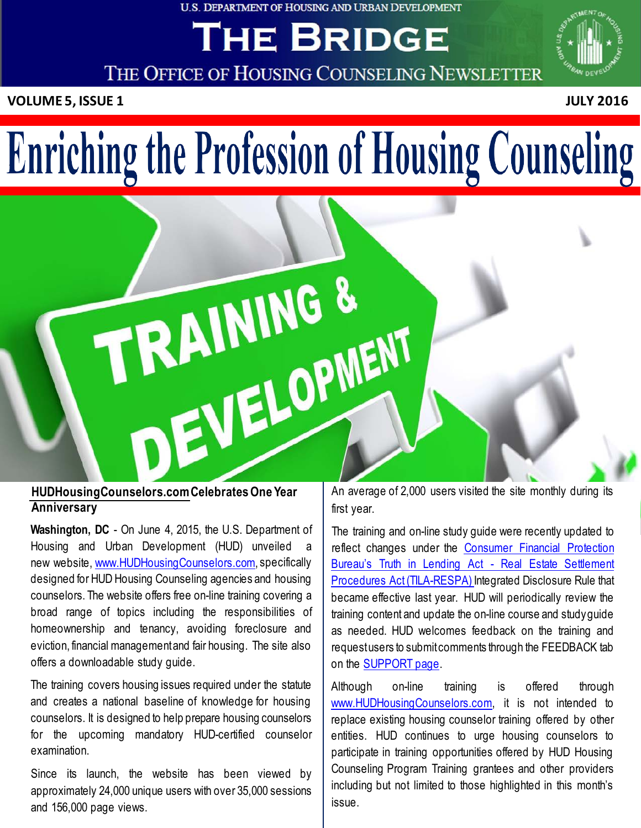#### U.S. DEPARTMENT OF HOUSING AND URBAN DEVELOPMENT

# THE BRIDGE



THE OFFICE OF HOUSING COUNSELING NEWSLETTER

**VOLUME 5, ISSUE 1 JULY 2016**



# Enriching the Profession of Housing Counseling



# **Anniversary**

**Washington, DC** - On June 4, 2015, the U.S. Department of Housing and Urban Development (HUD) unveiled a new website, [www.HUDHousingCounselors.com,](http://www.hudhousingcounselors.com/) specifically designed for HUD Housing Counseling agencies and housing counselors. The website offers free on-line training covering a broad range of topics including the responsibilities of homeownership and tenancy, avoiding foreclosure and eviction, financial managementand fair housing. The site also offers a downloadable study guide.

The training covers housing issues required under the statute and creates a national baseline of knowledge for housing counselors. It is designed to help prepare housing counselors for the upcoming mandatory HUD-certified counselor examination.

Since its launch, the website has been viewed by approximately 24,000 unique users with over 35,000 sessions and 156,000 page views.

An average of 2,000 users visited the site monthly during its first year.

The training and on-line study guide were recently updated to reflect changes under the [Consumer](http://www.consumerfinance.gov/policy-compliance/rulemaking/final-rules/2013-integrated-mortgage-disclosure-rule-under-real-estate-settlement-procedures-act-regulation-x-and-truth-lending-act-regulation-z/) Financial Protection Bureau's Truth in Lending [Act - Real](http://www.consumerfinance.gov/policy-compliance/rulemaking/final-rules/2013-integrated-mortgage-disclosure-rule-under-real-estate-settlement-procedures-act-regulation-x-and-truth-lending-act-regulation-z/) Estate Settlement Procedures Act [\(TILA-RESPA\)](http://www.consumerfinance.gov/policy-compliance/rulemaking/final-rules/2013-integrated-mortgage-disclosure-rule-under-real-estate-settlement-procedures-act-regulation-x-and-truth-lending-act-regulation-z/) Integrated Disclosure Rule that became effective last year. HUD will periodically review the training content and update the on-line course and studyguide as needed. HUD welcomes feedback on the training and requestusers to submitcomments through the FEEDBACK tab on the [SUPPORT](http://www.hudhousingcounselors.com/support) page.

Although on-line training is offered through [www.HUDHousingCounselors.com,](http://www.hudhousingcounselors.com/) it is not intended to replace existing housing counselor training offered by other entities. HUD continues to urge housing counselors to participate in training opportunities offered by HUD Housing Counseling Program Training grantees and other providers including but not limited to those highlighted in this month's issue.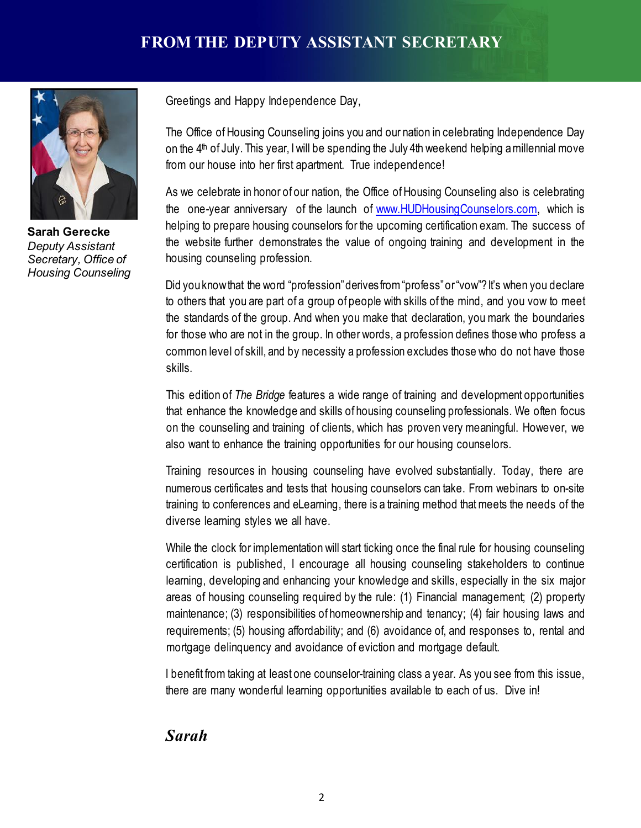

**Sarah Gerecke** *Deputy Assistant Secretary, Office of Housing Counseling*

Greetings and Happy Independence Day,

The Office of Housing Counseling joins you and our nation in celebrating Independence Day on the  $4<sup>th</sup>$  of July. This year, I will be spending the July 4th weekend helping a millennial move from our house into her first apartment. True independence!

As we celebrate in honor of our nation, the Office of Housing Counseling also is celebrating the one-year anniversary of the launch of [www.HUDHousingCounselors.com,](http://www.hudhousingcounselors.com/) which is helping to prepare housing counselors for the upcoming certification exam. The success of the website further demonstrates the value of ongoing training and development in the housing counseling profession.

Did you knowthat the word "profession"derivesfrom"profess"or"vow"?It's when you declare to others that you are part of a group of people with skills of the mind, and you vow to meet the standards of the group. And when you make that declaration, youmark the boundaries for those who are not in the group. In other words, a profession defines those who profess a common level of skill, and by necessity a profession excludes those who do not have those skills.

This edition of *The Bridge* features a wide range of training and development opportunities that enhance the knowledge and skills of housing counseling professionals. We often focus on the counseling and training of clients, which has proven very meaningful. However, we also want to enhance the training opportunities for our housing counselors.

Training resources in housing counseling have evolved substantially. Today, there are numerous certificates and tests that housing counselors can take. From webinars to on-site training to conferences and eLearning, there is a training method thatmeets the needs of the diverse learning styles we all have.

While the clock for implementation will start ticking once the final rule for housing counseling certification is published, I encourage all housing counseling stakeholders to continue learning, developing and enhancing your knowledge and skills, especially in the six major areas of housing counseling required by the rule: (1) Financial management; (2) property maintenance; (3) responsibilities of homeownership and tenancy; (4) fair housing laws and requirements; (5) housing affordability; and (6) avoidance of, and responses to, rental and mortgage delinquency and avoidance of eviction and mortgage default.

I benefit from taking at least one counselor-training class a year. As you see from this issue, there are many wonderful learning opportunities available to each of us. Dive in!

# *Sarah*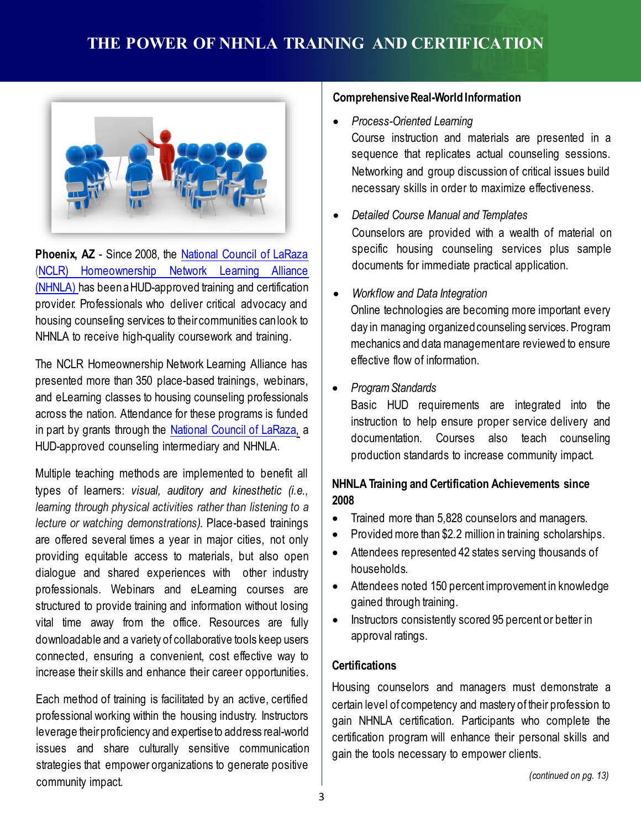

**Phoenix, AZ** - Since 2008, the [National](http://www.nclr.org/) Council of LaRaza (NCLR) [Homeownership](http://www.nhnla.org/) Network Learning Alliance [\(NHNLA\)](http://www.nhnla.org/) has been a HUD-approved training and certification provider. Professionals who deliver critical advocacy and housing counseling services to their communities canlook to NHNLA to receive high-quality coursework and training.

The NCLR Homeownership Network Learning Alliance has presented more than 350 place-based trainings, webinars, and eLearning classes to housing counseling professionals across the nation. Attendance for these programs is funded in part by grants through the [National](http://www.nclr.org/) Council of LaRaza, a HUD-approved counseling intermediary and NHNLA.

Multiple teaching methods are implemented to benefit all types of learners: *visual, auditory and kinesthetic (i.e., learning through physical activities rather than listening to a lecture or watching demonstrations).* Place-based trainings are offered several times a year in major cities, not only providing equitable access to materials, but also open dialogue and shared experiences with other industry professionals. Webinars and eLearning courses are structured to provide training and information without losing vital time away from the office. Resources are fully downloadable and a variety of collaborative tools keep users connected, ensuring a convenient, cost effective way to increase their skills and enhance their career opportunities.

Each method of training is facilitated by an active, certified professional working within the housing industry. Instructors leverage theirproficiency and expertiseto address real-world issues and share culturally sensitive communication strategies that empower organizations to generate positive community impact.

#### **Comprehensive Real-World Information**

- *Process-Oriented Learning*
- Course instruction and materials are presented in a sequence that replicates actual counseling sessions. Networking and group discussion of critical issues build necessary skills in order to maximize effectiveness.
- *Detailed Course Manual and Templates* Counselors are provided with a wealth of material on specific housing counseling services plus sample documents for immediate practical application.
- *Workflow and Data Integration* Online technologies are becoming more important every day in managing organizedcounseling services. Program mechanics and datamanagementare reviewed to ensure effective flow of information.
- *ProgramStandards*

Basic HUD requirements are integrated into the instruction to help ensure proper service delivery and documentation. Courses also teach counseling production standards to increase community impact.

### **NHNLA Training and Certification Achievements since 2008**

- Trained more than 5,828 counselors and managers.
- Provided more than \$2.2 million in training scholarships.
- Attendees represented 42 states serving thousands of households.
- Attendees noted 150 percent improvement in knowledge gained through training.
- Instructors consistently scored 95 percent or better in approval ratings.

#### **Certifications**

Housing counselors and managers must demonstrate a certain level of competency and mastery of their profession to gain NHNLA certification. Participants who complete the certification program will enhance their personal skills and gain the tools necessary to empower clients.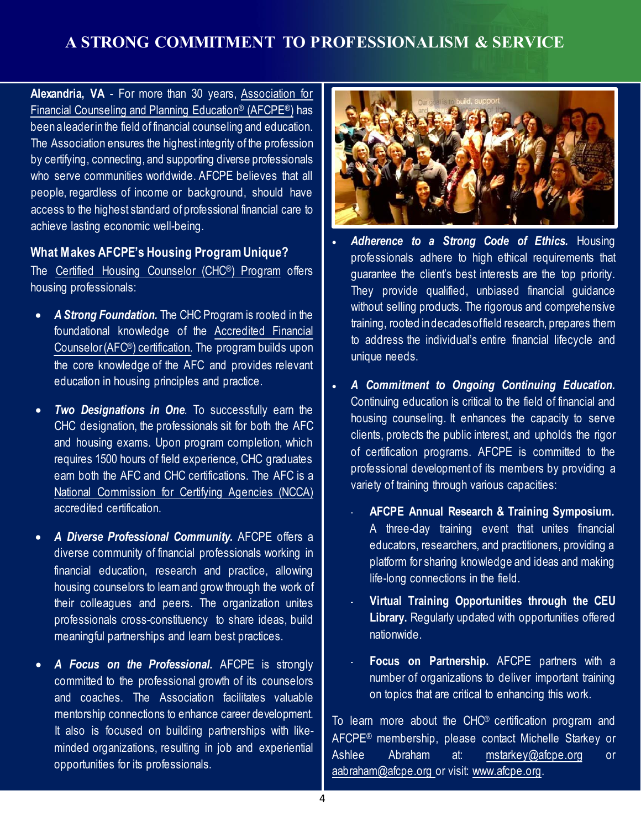# **A STRONG COMMITMENT TO PROFESSIONALISM & SERVICE**

**Alexandria, VA** - For more than 30 years, [Association](http://www.afcpe.org/) for Financial Counseling and Planning [Education® \(AFCPE®\)](http://www.afcpe.org/) has been a leaderinthe field of financial counseling and education. The Association ensures the highest integrity of the profession by certifying, connecting, and supporting diverse professionals who serve communities worldwide. AFCPE believes that all people, regardless of income or background, should have access to the highest standard of professional financial care to achieve lasting economic well-being.

#### **What Makes AFCPE's Housing Program Unique?**

The Certified Housing Counselor [\(CHC®\) Program](http://www.afcpe.org/certification/certification-programs/certified-housing-counselor/) offers housing professionals:

- *A Strong Foundation.* The CHC Program is rooted in the foundational knowledge of the [Accredited](http://www.afcpe.org/certification/curriculum/accredited-financial-counselor/) Financial [Counselor\(AFC®\) certification.](http://www.afcpe.org/certification/curriculum/accredited-financial-counselor/) The program builds upon the core knowledge of the AFC and provides relevant education in housing principles and practice.
- *Two Designations in One.* To successfully earn the CHC designation, the professionals sit for both the AFC and housing exams. Upon program completion, which requires 1500 hours of field experience, CHC graduates earn both the AFC and CHC certifications. The AFC is a National [Commission](http://www.credentialingexcellence.org/ncca) for Certifying Agencies (NCCA) accredited certification.
- *A Diverse Professional Community.* AFCPE offers a diverse community of financial professionals working in financial education, research and practice, allowing housing counselors to learnand grow through the work of their colleagues and peers. The organization unites professionals cross-constituency to share ideas, build meaningful partnerships and learn best practices.
- *A Focus on the Professional.* AFCPE is strongly committed to the professional growth of its counselors and coaches. The Association facilitates valuable mentorship connections to enhance career development. It also is focused on building partnerships with likeminded organizations, resulting in job and experiential opportunities for its professionals.



- *Adherence to a Strong Code of Ethics.* Housing professionals adhere to high ethical requirements that guarantee the client's best interests are the top priority. They provide qualified, unbiased financial guidance without selling products. The rigorous and comprehensive training, rooted indecadesoffield research, prepares them to address the individual's entire financial lifecycle and unique needs.
- *A Commitment to Ongoing Continuing Education.* Continuing education is critical to the field of financial and housing counseling. It enhances the capacity to serve clients, protects the public interest, and upholds the rigor of certification programs. AFCPE is committed to the professional development of its members by providing a variety of training through various capacities:
	- **AFCPE Annual Research & Training Symposium.** A three-day training event that unites financial educators, researchers, and practitioners, providing a platform for sharing knowledge and ideas and making life-long connections in the field.
	- **Virtual Training Opportunities through the CEU Library.** Regularly updated with opportunities offered nationwide.
	- **Focus on Partnership.** AFCPE partners with a number of organizations to deliver important training on topics that are critical to enhancing this work.

To learn more about the CHC® certification program and AFCPE® membership, please contact Michelle Starkey or Ashlee Abraham at: [mstarkey@afcpe.org](mailto:mstarkey@afcpe.org) or [aabraham@afcpe.org](mailto:aabraham@afcpe.org) or visit: [www.afcpe.org](http://www.afcpe.org/).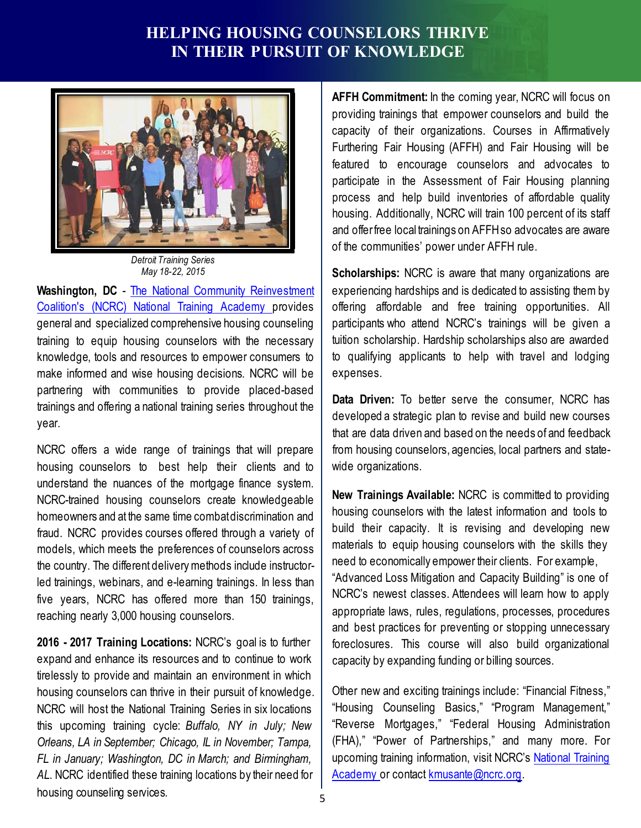# **HELPING HOUSING COUNSELORS THRIVE IN THEIR PURSUIT OF KNOWLEDGE**



*Detroit Training Series May 18-22, 2015*

**Washington, DC** - The National Community [Reinvestment](http://www.ncrc.org/programs-issues/training) [Coalition's](http://www.ncrc.org/programs-issues/training) (NCRC) National Training Academy provides general and specialized comprehensive housing counseling training to equip housing counselors with the necessary knowledge, tools and resources to empower consumers to make informed and wise housing decisions. NCRC will be partnering with communities to provide placed-based trainings and offering a national training series throughout the year.

NCRC offers a wide range of trainings that will prepare housing counselors to best help their clients and to understand the nuances of the mortgage finance system. NCRC-trained housing counselors create knowledgeable homeowners and at the same time combatdiscrimination and fraud. NCRC provides courses offered through a variety of models, which meets the preferences of counselors across the country. The different deliverymethods include instructorled trainings, webinars, and e-learning trainings. In less than five years, NCRC has offered more than 150 trainings, reaching nearly 3,000 housing counselors.

**2016 - 2017 Training Locations:** NCRC's goal is to further expand and enhance its resources and to continue to work tirelessly to provide and maintain an environment in which housing counselors can thrive in their pursuit of knowledge. NCRC will host the National Training Series in six locations this upcoming training cycle: *Buffalo, NY in July; New Orleans, LA in September; Chicago, IL in November; Tampa, FL in January; Washington, DC in March; and Birmingham, AL*. NCRC identified these training locations by their need for housing counseling services.

**AFFH Commitment:** In the coming year, NCRC will focus on providing trainings that empower counselors and build the capacity of their organizations. Courses in Affirmatively Furthering Fair Housing (AFFH) and Fair Housing will be featured to encourage counselors and advocates to participate in the Assessment of Fair Housing planning process and help build inventories of affordable quality housing. Additionally, NCRC will train 100 percent of its staff and offerfree local trainings on AFFHso advocates are aware of the communities' power under AFFH rule.

**Scholarships:** NCRC is aware that many organizations are experiencing hardships and is dedicated to assisting them by offering affordable and free training opportunities. All participants who attend NCRC's trainings will be given a tuition scholarship. Hardship scholarships also are awarded to qualifying applicants to help with travel and lodging expenses.

**Data Driven:** To better serve the consumer, NCRC has developed a strategic plan to revise and build new courses that are data driven and based on the needs of and feedback from housing counselors, agencies, local partners and statewide organizations.

**New Trainings Available:** NCRC is committed to providing housing counselors with the latest information and tools to build their capacity. It is revising and developing new materials to equip housing counselors with the skills they need to economically empower their clients. For example, "Advanced Loss Mitigation and Capacity Building" is one of NCRC's newest classes. Attendees will learn how to apply appropriate laws, rules, regulations, processes, procedures and best practices for preventing or stopping unnecessary foreclosures. This course will also build organizational capacity by expanding funding or billing sources.

Other new and exciting trainings include: "Financial Fitness," "Housing Counseling Basics," "Program Management," "Reverse Mortgages," "Federal Housing Administration (FHA)," "Power of Partnerships," and many more. For upcoming training information, visit NCRC's [National](https://live.blueskybroadcast.com/bsb/client/CL_DEFAULT.asp?Client=901883&title=Home) Training [Academy](https://live.blueskybroadcast.com/bsb/client/CL_DEFAULT.asp?Client=901883&title=Home) or contact [kmusante@ncrc.org.](mailto:kmusante@ncrc.org)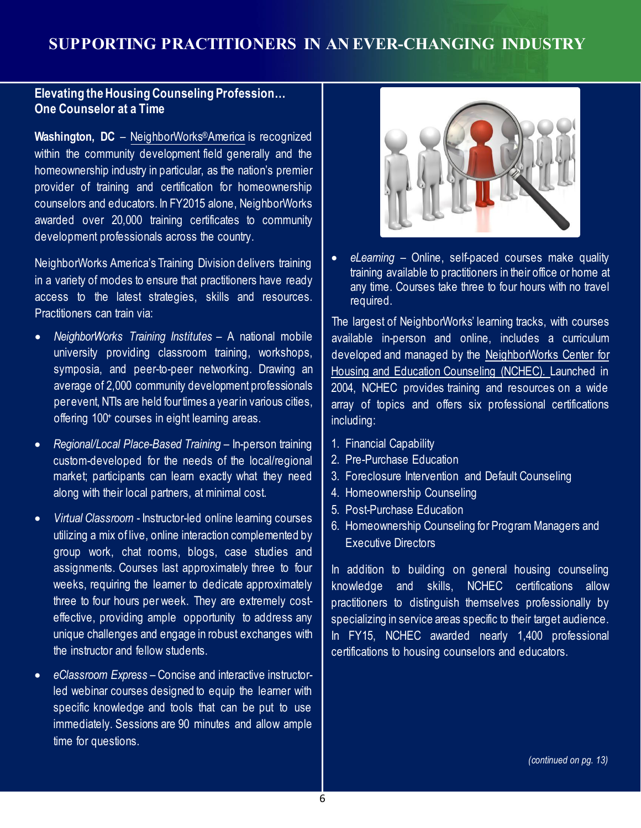### **Elevating theHousingCounseling Profession… One Counselor at a Time**

**Washington, DC** – [NeighborWorks®America](http://www.neighborworks.org/Home.aspx) is recognized within the community development field generally and the homeownership industry in particular, as the nation's premier provider of training and certification for homeownership counselors and educators. In FY2015 alone, NeighborWorks awarded over 20,000 training certificates to community development professionals across the country.

NeighborWorks America's Training Division delivers training in a variety of modes to ensure that practitioners have ready access to the latest strategies, skills and resources. Practitioners can train via:

- *NeighborWorks Training Institutes* A national mobile university providing classroom training, workshops, symposia, and peer-to-peer networking. Drawing an average of 2,000 community development professionals perevent, NTIs are held four times a year in various cities, offering 100+ courses in eight learning areas.
- *Regional/Local Place-Based Training* In-person training custom-developed for the needs of the local/regional market; participants can learn exactly what they need along with their local partners, at minimal cost.
- *Virtual Classroom* Instructor-led online learning courses utilizing a mix of live, online interaction complemented by group work, chat rooms, blogs, case studies and assignments. Courses last approximately three to four weeks, requiring the learner to dedicate approximately three to four hours per week. They are extremely costeffective, providing ample opportunity to address any unique challenges and engage in robust exchanges with the instructor and fellow students.
- *eClassroom Express* Concise and interactive instructorled webinar courses designed to equip the learner with specific knowledge and tools that can be put to use immediately. Sessions are 90 minutes and allow ample time for questions.



• *eLearning* – Online, self-paced courses make quality training available to practitioners in their office or home at any time. Courses take three to four hours with no travel required.

The largest of NeighborWorks' learning tracks, with courses available in-person and online, includes a curriculum developed and managed by the [NeighborWorks](http://www.neighborworks.org/training-services) Center for Housing and Education [Counseling](http://www.neighborworks.org/training-services) (NCHEC). Launched in 2004, NCHEC provides training and resources on a wide array of topics and offers six professional certifications including:

- 1. Financial Capability
- 2. Pre-Purchase Education
- 3. Foreclosure Intervention and Default Counseling
- 4. Homeownership Counseling
- 5. Post-Purchase Education
- 6. Homeownership Counseling for Program Managers and Executive Directors

In addition to building on general housing counseling knowledge and skills, NCHEC certifications allow practitioners to distinguish themselves professionally by specializing in service areas specific to their target audience. In FY15, NCHEC awarded nearly 1,400 professional certifications to housing counselors and educators.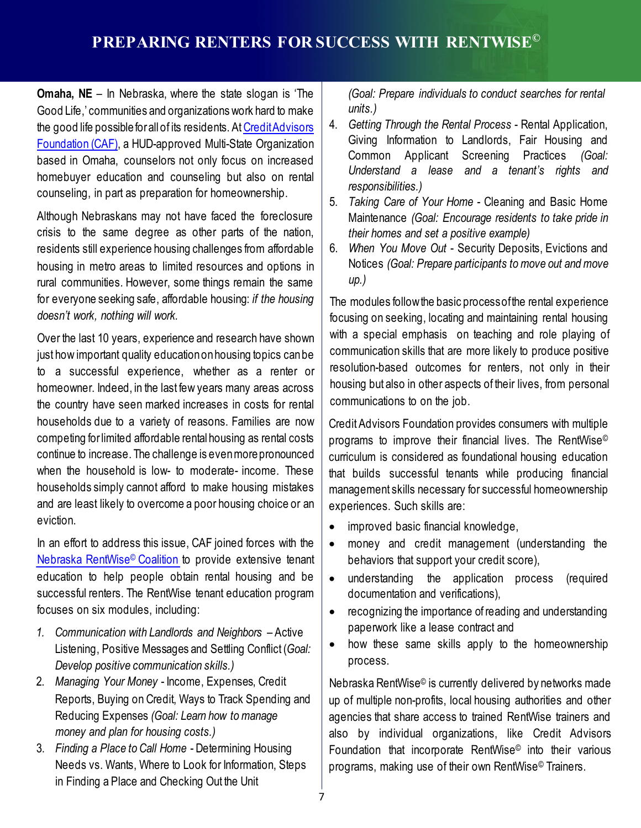**Omaha, NE** – In Nebraska, where the state slogan is 'The Good Life,' communities and organizations work hard to make the good life possible for all of its residents. At Credit Advisors [Foundation](http://www.creditadvisors.org/) (CAF), a HUD-approved Multi-State Organization based in Omaha, counselors not only focus on increased homebuyer education and counseling but also on rental counseling, in part as preparation for homeownership.

Although Nebraskans may not have faced the foreclosure crisis to the same degree as other parts of the nation, residents still experience housing challenges from affordable housing in metro areas to limited resources and options in rural communities. However, some things remain the same for everyone seeking safe, affordable housing: *if the housing doesn't work, nothing will work.*

Over the last 10 years, experience and research have shown just how important quality educationonhousing topics canbe to a successful experience, whether as a renter or homeowner. Indeed, in the last few years many areas across the country have seen marked increases in costs for rental households due to a variety of reasons. Families are now competing forlimited affordable rental housing as rental costs continue to increase. The challenge is evenmorepronounced when the household is low- to moderate- income. These households simply cannot afford to make housing mistakes and are least likely to overcome a poor housing choice or an eviction.

In an effort to address this issue, CAF joined forces with the Nebraska [RentWise© Coalition](http://rentwise.org/) to provide extensive tenant education to help people obtain rental housing and be successful renters. The RentWise tenant education program focuses on six modules, including:

- *1. Communication with Landlords and Neighbors* Active Listening, Positive Messages and Settling Conflict (*Goal: Develop positive communication skills.)*
- 2. *Managing Your Money* Income, Expenses, Credit Reports, Buying on Credit, Ways to Track Spending and Reducing Expenses *(Goal: Learn how to manage money and plan for housing costs.)*
- 3. *Finding a Place to Call Home* Determining Housing Needs vs. Wants, Where to Look for Information, Steps in Finding a Place and Checking Out the Unit

*(Goal: Prepare individuals to conduct searches for rental units.)*

- 4. *Getting Through the Rental Process* Rental Application, Giving Information to Landlords, Fair Housing and Common Applicant Screening Practices *(Goal: Understand a lease and a tenant's rights and responsibilities.)*
- 5. *Taking Care of Your Home* Cleaning and Basic Home Maintenance *(Goal: Encourage residents to take pride in their homes and set a positive example)*
- 6. *When You Move Out* Security Deposits, Evictions and Notices *(Goal: Prepare participants tomove out andmove up.)*

The modules followthe basic processofthe rental experience focusing on seeking, locating and maintaining rental housing with a special emphasis on teaching and role playing of communication skills that are more likely to produce positive resolution-based outcomes for renters, not only in their housing but also in other aspects of their lives, from personal communications to on the job.

Credit Advisors Foundation provides consumers with multiple programs to improve their financial lives. The RentWise© curriculum is considered as foundational housing education that builds successful tenants while producing financial management skills necessary for successful homeownership experiences. Such skills are:

- improved basic financial knowledge,
- money and credit management (understanding the behaviors that support your credit score),
- understanding the application process (required documentation and verifications),
- recognizing the importance of reading and understanding paperwork like a lease contract and
- how these same skills apply to the homeownership process.

Nebraska RentWise© is currently delivered by networks made up of multiple non-profits, local housing authorities and other agencies that share access to trained RentWise trainers and also by individual organizations, like Credit Advisors Foundation that incorporate RentWise© into their various programs, making use of their own RentWise© Trainers.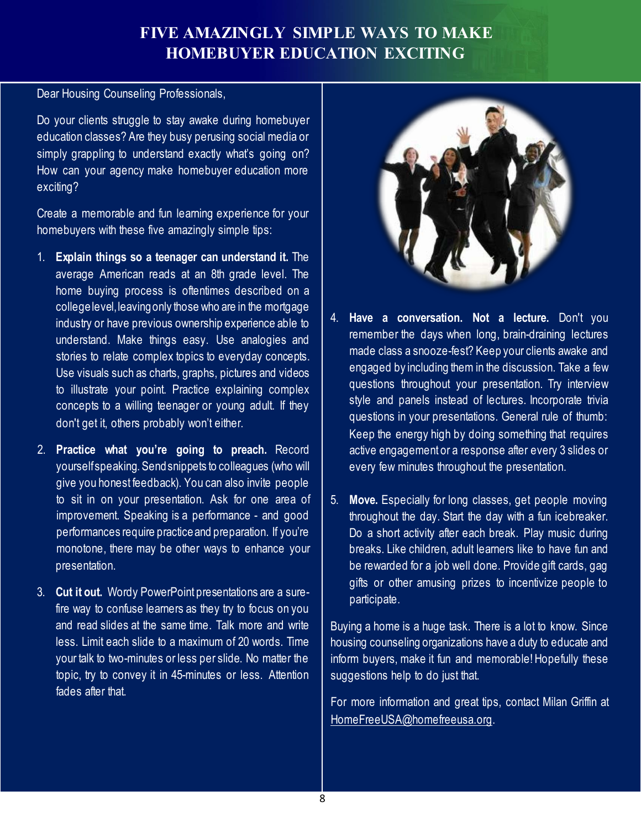# **FIVE AMAZINGLY SIMPLE WAYS TO MAKE HOMEBUYER EDUCATION EXCITING**

Dear Housing Counseling Professionals,

Do your clients struggle to stay awake during homebuyer education classes? Are they busy perusing social media or simply grappling to understand exactly what's going on? How can your agency make homebuyer education more exciting?

Create a memorable and fun learning experience for your homebuyers with these five amazingly simple tips:

- 1. **Explain things so a teenager can understand it.** The average American reads at an 8th grade level. The home buying process is oftentimes described on a college level, leaving only those who are in the mortgage industry or have previous ownership experience able to understand. Make things easy. Use analogies and stories to relate complex topics to everyday concepts. Use visuals such as charts, graphs, pictures and videos to illustrate your point. Practice explaining complex concepts to a willing teenager or young adult. If they don't get it, others probably won't either.
- 2. **Practice what you're going to preach.** Record yourselfspeaking. Sendsnippets to colleagues (who will give you honest feedback). You can also invite people to sit in on your presentation. Ask for one area of improvement. Speaking is a performance - and good performances require practiceand preparation. If you're monotone, there may be other ways to enhance your presentation.
- 3. **Cut it out.** Wordy PowerPoint presentations are a surefire way to confuse learners as they try to focus on you and read slides at the same time. Talk more and write less. Limit each slide to a maximum of 20 words. Time your talk to two-minutes or less per slide. No matter the topic, try to convey it in 45-minutes or less. Attention fades after that.



- 4. **Have a conversation. Not a lecture.** Don't you remember the days when long, brain-draining lectures made class a snooze-fest? Keep your clients awake and engaged by including them in the discussion. Take a few questions throughout your presentation. Try interview style and panels instead of lectures. Incorporate trivia questions in your presentations. General rule of thumb: Keep the energy high by doing something that requires active engagement or a response after every 3 slides or every few minutes throughout the presentation.
- 5. **Move.** Especially for long classes, get people moving throughout the day. Start the day with a fun icebreaker. Do a short activity after each break. Play music during breaks. Like children, adult learners like to have fun and be rewarded for a job well done. Provide gift cards, gag gifts or other amusing prizes to incentivize people to participate.

Buying a home is a huge task. There is a lot to know. Since housing counseling organizations have a duty to educate and inform buyers, make it fun and memorable!Hopefully these suggestions help to do just that.

For more information and great tips, contact Milan Griffin at [HomeFreeUSA@homefreeusa.org.](mailto:HomeFreeUSA@homefreeusa.org)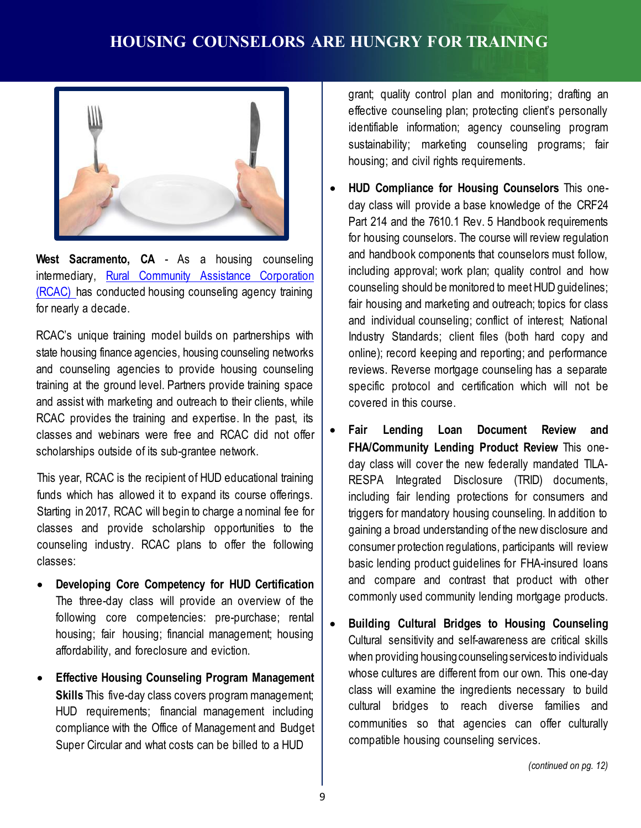

**West Sacramento, CA** - As a housing counseling intermediary, Rural Community Assistance [Corporation](http://www.rcac.org/) [\(RCAC\)](http://www.rcac.org/) has conducted housing counseling agency training for nearly a decade.

RCAC's unique training model builds on partnerships with state housing finance agencies, housing counseling networks and counseling agencies to provide housing counseling training at the ground level. Partners provide training space and assist with marketing and outreach to their clients, while RCAC provides the training and expertise. In the past, its classes and webinars were free and RCAC did not offer scholarships outside of its sub-grantee network.

This year, RCAC is the recipient of HUD educational training funds which has allowed it to expand its course offerings. Starting in 2017, RCAC will begin to charge a nominal fee for classes and provide scholarship opportunities to the counseling industry. RCAC plans to offer the following classes:

- **Developing Core Competency for HUD Certification** The three-day class will provide an overview of the following core competencies: pre-purchase; rental housing; fair housing; financial management; housing affordability, and foreclosure and eviction.
- **Effective Housing Counseling Program Management Skills** This five-day class covers program management; HUD requirements; financial management including compliance with the Office of Management and Budget Super Circular and what costs can be billed to a HUD  $\bullet$

grant; quality control plan and monitoring; drafting an effective counseling plan; protecting client's personally identifiable information; agency counseling program sustainability; marketing counseling programs; fair housing; and civil rights requirements.

- **HUD Compliance for Housing Counselors** This oneday class will provide a base knowledge of the CRF24 Part 214 and the 7610.1 Rev. 5 Handbook requirements for housing counselors. The course will review regulation and handbook components that counselors must follow, including approval; work plan; quality control and how counseling should be monitored to meet HUD quidelines; fair housing and marketing and outreach; topics for class and individual counseling; conflict of interest; National Industry Standards; client files (both hard copy and online); record keeping and reporting; and performance reviews. Reverse mortgage counseling has a separate specific protocol and certification which will not be covered in this course.
- **Fair Lending Loan Document Review and FHA/Community Lending Product Review** This oneday class will cover the new federally mandated TILA-RESPA Integrated Disclosure (TRID) documents, including fair lending protections for consumers and triggers for mandatory housing counseling. In addition to gaining a broad understanding of the new disclosure and consumer protection regulations, participants will review basic lending product guidelines for FHA-insured loans and compare and contrast that product with other commonly used community lending mortgage products.
- **Building Cultural Bridges to Housing Counseling** Cultural sensitivity and self-awareness are critical skills when providing housing counseling services to individuals whose cultures are different from our own. This one-day class will examine the ingredients necessary to build cultural bridges to reach diverse families and communities so that agencies can offer culturally compatible housing counseling services.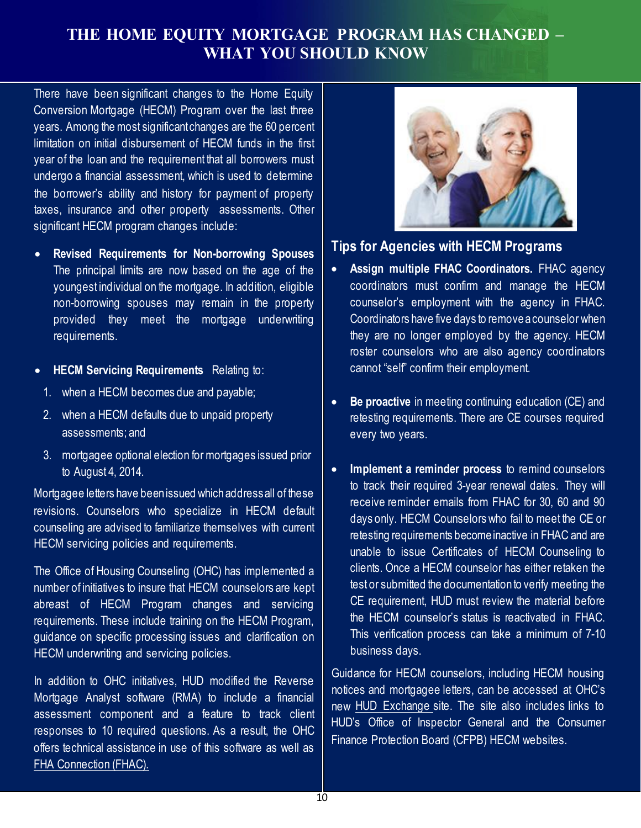# **THE HOME EQUITY MORTGAGE PROGRAM HAS CHANGED – WHAT YOU SHOULD KNOW**

There have been significant changes to the Home Equity Conversion Mortgage (HECM) Program over the last three years. Among the most significant changes are the 60 percent limitation on initial disbursement of HECM funds in the first year of the loan and the requirement that all borrowers must undergo a financial assessment, which is used to determine the borrower's ability and history for payment of property taxes, insurance and other property assessments. Other significant HECM program changes include:

- **Revised Requirements for Non-borrowing Spouses** The principal limits are now based on the age of the youngest individual on the mortgage. In addition, eligible non-borrowing spouses may remain in the property provided they meet the mortgage underwriting requirements.
- **HECM Servicing Requirements** Relating to:
	- 1. when a HECM becomes due and payable;
	- 2. when a HECM defaults due to unpaid property assessments; and
	- 3. mortgagee optional election for mortgages issued prior to August 4, 2014.

Mortgagee letters have beenissued whichaddressall of these revisions. Counselors who specialize in HECM default counseling are advised to familiarize themselves with current HECM servicing policies and requirements.

The Office of Housing Counseling (OHC) has implemented a number of initiatives to insure that HECM counselors are kept abreast of HECM Program changes and servicing requirements. These include training on the HECM Program, guidance on specific processing issues and clarification on HECM underwriting and servicing policies.

In addition to OHC initiatives, HUD modified the Reverse Mortgage Analyst software (RMA) to include a financial assessment component and a feature to track client responses to 10 required questions. As a result, the OHC offers technical assistance in use of this software as well as FHA [Connection](https://entp.hud.gov/clas/index.cfm) (FHAC).



### **Tips for Agencies with HECM Programs**

- **Assign multiple FHAC Coordinators.** FHAC agency coordinators must confirm and manage the HECM counselor's employment with the agency in FHAC. Coordinators have five days to remove a counselor when they are no longer employed by the agency. HECM roster counselors who are also agency coordinators cannot "self" confirm their employment.
- **Be proactive** in meeting continuing education (CE) and retesting requirements. There are CE courses required every two years.
- **Implement a reminder process** to remind counselors to track their required 3-year renewal dates. They will receive reminder emails from FHAC for 30, 60 and 90 days only. HECM Counselors who fail to meet the CE or retesting requirements becomeinactive in FHAC and are unable to issue Certificates of HECM Counseling to clients. Once a HECM counselor has either retaken the test or submitted the documentationto verify meeting the CE requirement, HUD must review the material before the HECM counselor's status is reactivated in FHAC. This verification process can take a minimum of 7-10 business days.

Guidance for HECM counselors, including HECM housing notices and mortgagee letters, can be accessed at OHC's new HUD [Exchange](https://www.hudexchange.info/programs/housing-counseling/) site. The site also includes links to HUD's Office of Inspector General and the Consumer Finance Protection Board (CFPB) HECM websites.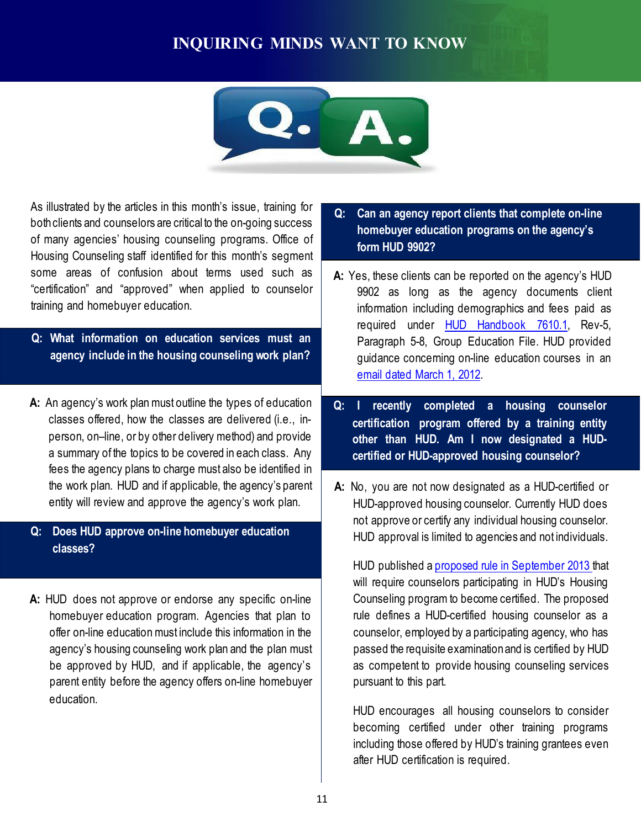# **INQUIRING MINDS WANT TO KNOW**



As illustrated by the articles in this month's issue, training for bothclients and counselors are critical to the on-going success of many agencies' housing counseling programs. Office of Housing Counseling staff identified for this month's segment some areas of confusion about terms used such as "certification" and "approved" when applied to counselor training and homebuyer education.

- **Q: What information on education services must an agency include in the housing counseling work plan?**
- **A:** An agency's work planmust outline the types of education classes offered, how the classes are delivered (i.e., inperson, on–line, or by other delivery method) and provide a summary of the topics to be covered in each class. Any fees the agency plans to charge must also be identified in the work plan. HUD and if applicable, the agency's parent entity will review and approve the agency's work plan.

#### **Q: Does HUD approve on-line homebuyer education classes?**

**A:** HUD does not approve or endorse any specific on-line homebuyer education program. Agencies that plan to offer on-line education must include this information in the agency's housing counseling work plan and the plan must be approved by HUD, and if applicable, the agency's parent entity before the agency offers on-line homebuyer education.

- **Q: Can an agency report clients that complete on-line homebuyer education programs on the agency's form HUD 9902?**
- **A:** Yes, these clients can be reported on the agency's HUD 9902 as long as the agency documents client information including demographics and fees paid as required under HUD [Handbook](http://portal.hud.gov/hudportal/documents/huddoc?id=76101HSGH.pdf) 7610.1, Rev-5, Paragraph 5-8, Group Education File. HUD provided guidance concerning on-line education courses in an [email dated](http://portal.hud.gov/hudportal/documents/huddoc?id=ohc_030112a.pdf) March 1, 2012.
- **Q: I recently completed a housing counselor certification program offered by a training entity other than HUD. Am I now designated a HUDcertified or HUD-approved housing counselor?**
- **A:** No, you are not now designated as a HUD-certified or HUD-approved housing counselor. Currently HUD does not approve or certify any individual housing counselor. HUD approval is limited to agencies and not individuals.

HUD published a proposed rule in [September](https://www.federalregister.gov/articles/2013/09/13/2013-22229/housing-counseling-program-new-certification-requirements) 2013 that will require counselors participating in HUD's Housing Counseling program to become certified. The proposed rule defines a HUD-certified housing counselor as a counselor, employed by a participating agency, who has passed the requisite examinationand is certified by HUD as competent to provide housing counseling services pursuant to this part.

HUD encourages all housing counselors to consider becoming certified under other training programs including those offered by HUD's training grantees even after HUD certification is required.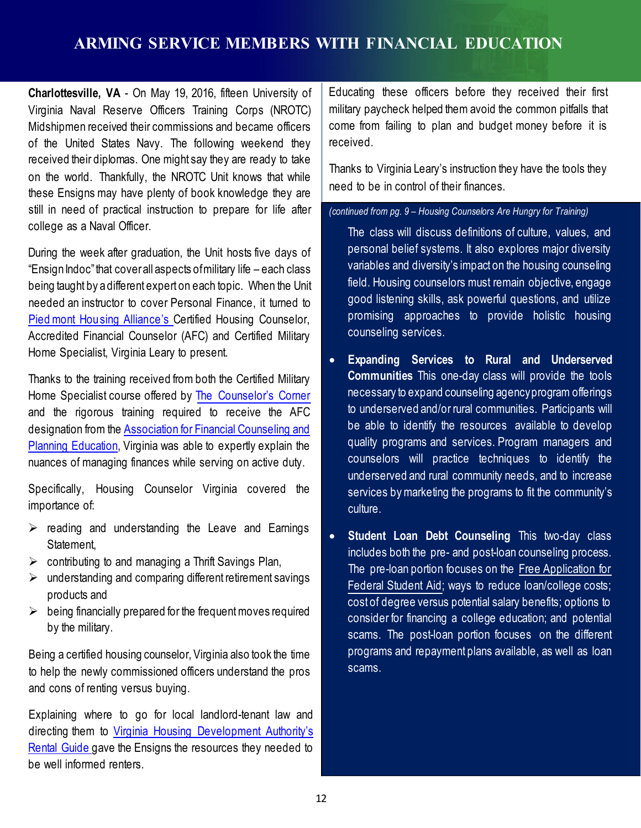# **ARMING SERVICE MEMBERS WITH FINANCIAL EDUCATION**

**Charlottesville, VA** - On May 19, 2016, fifteen University of Virginia Naval Reserve Officers Training Corps (NROTC) Midshipmen received their commissions and became officers of the United States Navy. The following weekend they received their diplomas. One might say they are ready to take on the world. Thankfully, the NROTC Unit knows that while these Ensigns may have plenty of book knowledge they are still in need of practical instruction to prepare for life after college as a Naval Officer.

During the week after graduation, the Unit hosts five days of "Ensign Indoc" that coverall aspects of military life – each class being taught by a different expert on each topic. When the Unit needed an instructor to cover Personal Finance, it turned to Piedmont [Housing Alliance's](http://piedmonthousingalliance.org/) Certified Housing Counselor, Accredited Financial Counselor (AFC) and Certified Military Home Specialist, Virginia Leary to present.

Thanks to the training received from both the Certified Military Home Specialist course offered by The [Counselor's](http://www.thecounselorscorner.net/) Corner and the rigorous training required to receive the AFC designation from the [Association](http://www.afcpe.org/certification/curriculum/accredited-financial-counselor/) for Financial Counseling and Planning [Education,](http://www.afcpe.org/certification/curriculum/accredited-financial-counselor/) Virginia was able to expertly explain the nuances of managing finances while serving on active duty.

Specifically, Housing Counselor Virginia covered the importance of:

- $\triangleright$  reading and understanding the Leave and Earnings Statement,
- $\triangleright$  contributing to and managing a Thrift Savings Plan,
- $\triangleright$  understanding and comparing different retirement savings products and
- $\triangleright$  being financially prepared for the frequent moves required by the military.

Being a certified housing counselor, Virginia also took the time to help the newly commissioned officers understand the pros and cons of renting versus buying.

Explaining where to go for local landlord-tenant law and directing them to Virginia Housing [Development Authority's](http://www.vhda.com/Renters/Documents/RenterHandbook.pdf) [Rental](http://www.vhda.com/Renters/Documents/RenterHandbook.pdf) Guide gave the Ensigns the resources they needed to be well informed renters.

Educating these officers before they received their first military paycheck helped them avoid the common pitfalls that come from failing to plan and budget money before it is received.

Thanks to Virginia Leary's instruction they have the tools they need to be in control of their finances.

#### *(continued from pg. 9 – Housing Counselors Are Hungry for Training)*

The class will discuss definitions of culture, values, and personal belief systems. It also explores major diversity variables and diversity's impact on the housing counseling field. Housing counselors must remain objective, engage good listening skills, ask powerful questions, and utilize promising approaches to provide holistic housing counseling services.

- **Expanding Services to Rural and Underserved Communities** This one-day class will provide the tools necessary to expand counseling agencyprogram offerings to underserved and/or rural communities. Participants will be able to identify the resources available to develop quality programs and services. Program managers and counselors will practice techniques to identify the underserved and rural community needs, and to increase services by marketing the programs to fit the community's culture.
- **Student Loan Debt Counseling** This two-day class includes both the pre- and post-loan counseling process. The pre-loan portion focuses on the Free [Application](https://fafsa.ed.gov/) for [Federal](https://fafsa.ed.gov/) Student Aid; ways to reduce loan/college costs; cost of degree versus potential salary benefits; options to consider for financing a college education; and potential scams. The post-loan portion focuses on the different programs and repayment plans available, as well as loan scams.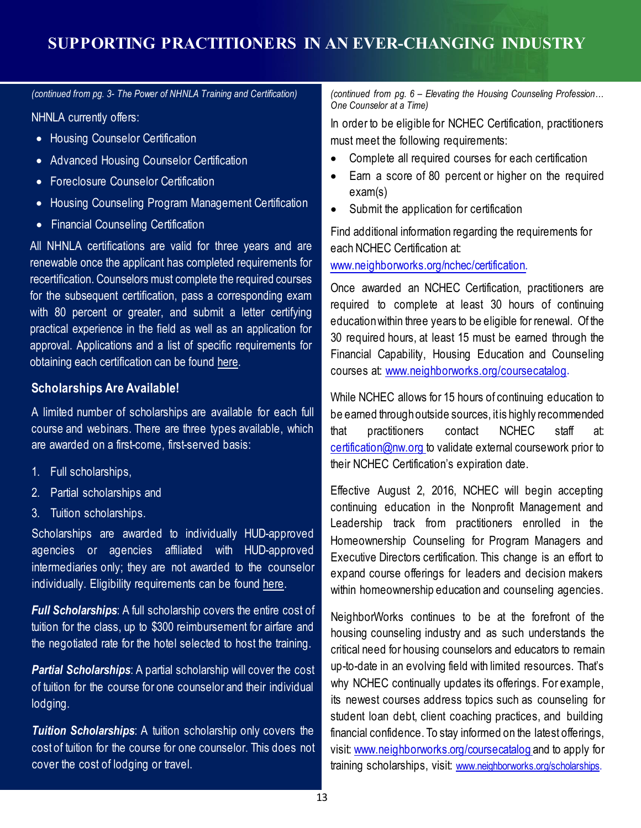# **SUPPORTING PRACTITIONERS IN AN EVER-CHANGING INDUSTRY**

*(continued from pg. 3- The Power of NHNLA Training and Certification)*

NHNLA currently offers:

- Housing Counselor Certification
- Advanced Housing Counselor Certification
- Foreclosure Counselor Certification
- Housing Counseling Program Management Certification
- Financial Counseling Certification

All NHNLA certifications are valid for three years and are renewable once the applicant has completed requirements for recertification. Counselors must complete the required courses for the subsequent certification, pass a corresponding exam with 80 percent or greater, and submit a letter certifying practical experience in the field as well as an application for approval. Applications and a list of specific requirements for obtaining each certification can be found [here.](http://nhnla.org/index.cfm?fuseaction=Page.ViewPage&PageID=588)

#### **Scholarships Are Available!**

A limited number of scholarships are available for each full course and webinars. There are three types available, which are awarded on a first-come, first-served basis:

- 1. Full scholarships,
- 2. Partial scholarships and
- 3. Tuition scholarships.

Scholarships are awarded to individually HUD-approved agencies or agencies affiliated with HUD-approved intermediaries only; they are not awarded to the counselor individually. Eligibility requirements can be found [here.](http://nhnla.org/index.cfm?fuseaction=Page.ViewPage&PageID=508)

*Full Scholarships:* A full scholarship covers the entire cost of tuition for the class, up to \$300 reimbursement for airfare and the negotiated rate for the hotel selected to host the training.

*Partial Scholarships*: A partial scholarship will cover the cost of tuition for the course for one counselor and their individual lodging.

*Tuition Scholarships*: A tuition scholarship only covers the cost of tuition for the course for one counselor. This does not cover the cost of lodging or travel.

*(continued from pg. 6 – Elevating the Housing Counseling Profession… One Counselor at a Time)*

In order to be eligible for NCHEC Certification, practitioners must meet the following requirements:

- Complete all required courses for each certification
- Earn a score of 80 percent or higher on the required exam(s)
- Submit the application for certification

Find additional information regarding the requirements for each NCHEC Certification at:

[www.neighborworks.org/nchec/certification.](http://www.neighborworks.org/nchec/certification)

Once awarded an NCHEC Certification, practitioners are required to complete at least 30 hours of continuing educationwithin three years to be eligible for renewal. Of the 30 required hours, at least 15 must be earned through the Financial Capability, Housing Education and Counseling courses at: [www.neighborworks.org/coursecatalog.](http://www.neighborworks.org/coursecatalog)

While NCHEC allows for 15 hours of continuing education to be earned throughoutside sources, itis highly recommended that practitioners contact NCHEC staff at: [certification@nw.org](mailto:certification@nw.org) to validate external coursework prior to their NCHEC Certification's expiration date.

Effective August 2, 2016, NCHEC will begin accepting continuing education in the Nonprofit Management and Leadership track from practitioners enrolled in the Homeownership Counseling for Program Managers and Executive Directors certification. This change is an effort to expand course offerings for leaders and decision makers within homeownership education and counseling agencies.

NeighborWorks continues to be at the forefront of the housing counseling industry and as such understands the critical need for housing counselors and educators to remain up-to-date in an evolving field with limited resources. That's why NCHEC continually updates its offerings. For example, its newest courses address topics such as counseling for student loan debt, client coaching practices, and building financial confidence. To stay informed on the latest offerings, visit: [www.neighborworks.org/coursecatalog](http://www.neighborworks.org/coursecatalog) and to apply for training scholarships, visit: [www.neighborworks.org/scholarships.](http://training.nw5.org/)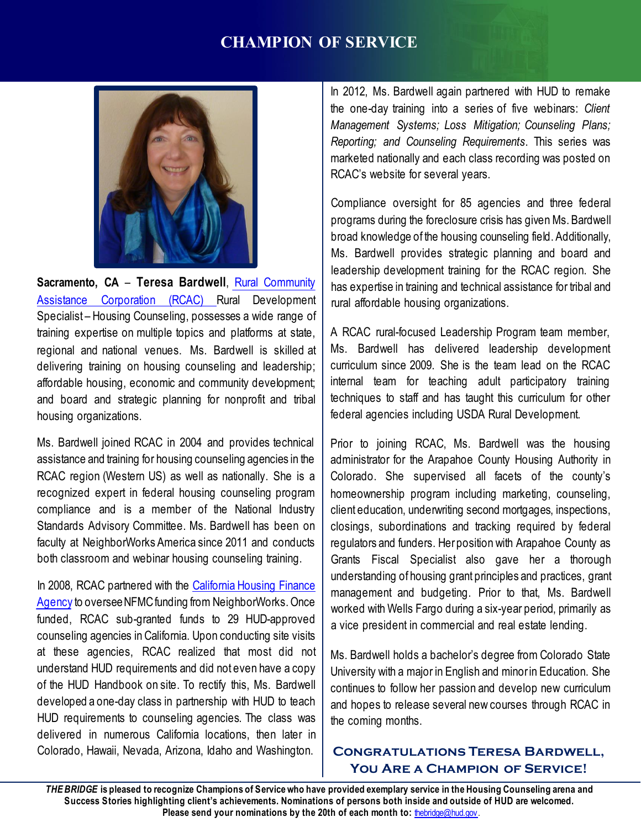# **CHAMPION OF SERVICE**



**Sacramento, CA** – **Teresa Bardwell**, Rural [Community](http://www.rcac.org/) Assistance [Corporation](http://www.rcac.org/) (RCAC) Rural Development Specialist – Housing Counseling, possesses a wide range of training expertise on multiple topics and platforms at state, regional and national venues. Ms. Bardwell is skilled at delivering training on housing counseling and leadership; affordable housing, economic and community development; and board and strategic planning for nonprofit and tribal housing organizations.

Ms. Bardwell joined RCAC in 2004 and provides technical assistance and training for housing counseling agencies in the RCAC region (Western US) as well as nationally. She is a recognized expert in federal housing counseling program compliance and is a member of the National Industry Standards Advisory Committee. Ms. Bardwell has been on faculty at NeighborWorks America since 2011 and conducts both classroom and webinar housing counseling training.

In 2008, RCAC partnered with the [California](http://www.calhfa.ca.gov/) Housing Finance [Agency](http://www.calhfa.ca.gov/) to oversee NFMC funding from NeighborWorks. Once funded, RCAC sub-granted funds to 29 HUD-approved counseling agencies in California. Upon conducting site visits at these agencies, RCAC realized that most did not understand HUD requirements and did not even have a copy of the HUD Handbook on site. To rectify this, Ms. Bardwell developed a one-day class in partnership with HUD to teach HUD requirements to counseling agencies. The class was delivered in numerous California locations, then later in Colorado, Hawaii, Nevada, Arizona, Idaho and Washington.

In 2012, Ms. Bardwell again partnered with HUD to remake the one-day training into a series of five webinars: *Client Management Systems; Loss Mitigation; Counseling Plans; Reporting; and Counseling Requirements*. This series was marketed nationally and each class recording was posted on RCAC's website for several years.

Compliance oversight for 85 agencies and three federal programs during the foreclosure crisis has given Ms. Bardwell broad knowledge of the housing counseling field. Additionally, Ms. Bardwell provides strategic planning and board and leadership development training for the RCAC region. She has expertise in training and technical assistance for tribal and rural affordable housing organizations.

A RCAC rural-focused Leadership Program team member, Ms. Bardwell has delivered leadership development curriculum since 2009. She is the team lead on the RCAC internal team for teaching adult participatory training techniques to staff and has taught this curriculum for other federal agencies including USDA Rural Development.

Prior to joining RCAC, Ms. Bardwell was the housing administrator for the Arapahoe County Housing Authority in Colorado. She supervised all facets of the county's homeownership program including marketing, counseling, client education, underwriting second mortgages, inspections, closings, subordinations and tracking required by federal regulators and funders. Herposition with Arapahoe County as Grants Fiscal Specialist also gave her a thorough understanding of housing grant principles and practices, grant management and budgeting. Prior to that, Ms. Bardwell worked with Wells Fargo during a six-year period, primarily as a vice president in commercial and real estate lending.

Ms. Bardwell holds a bachelor's degree from Colorado State University with a major in English and minorin Education. She continues to follow her passion and develop new curriculum and hopes to release several new courses through RCAC in the coming months.

### **Congratulations Teresa Bardwell, You Are a Champion of Service!**

Success Stories highlighting client's achievements. Nominations of persons both inside and outside of HUD are welcomed. THE BRIDGE is pleased to recognize Champions of Service who have provided exemplary service in the Housing Counseling arena and **Please send your nominations by the 20th of each month to: [thebridge@hud.gov.](mailto:thebridge@hud.gov)**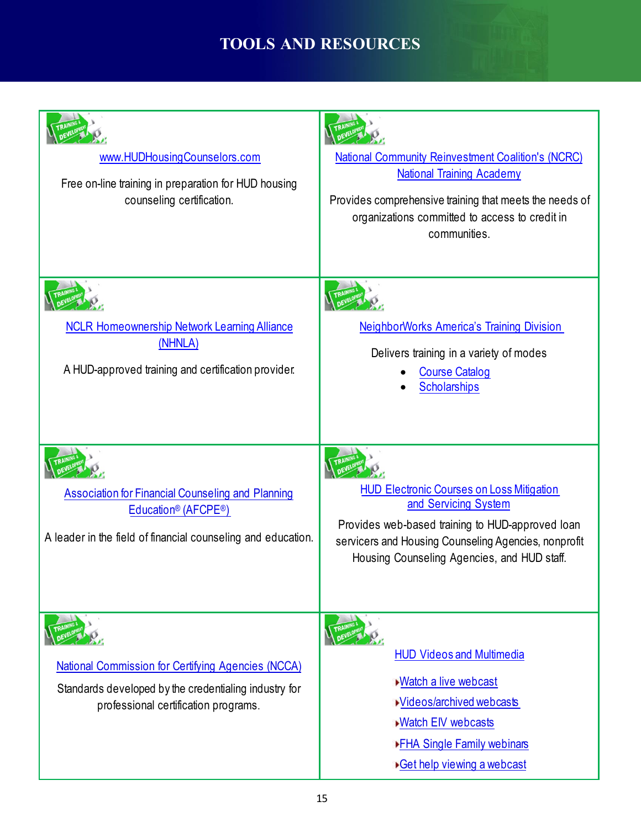# **TOOLS AND RESOURCES**